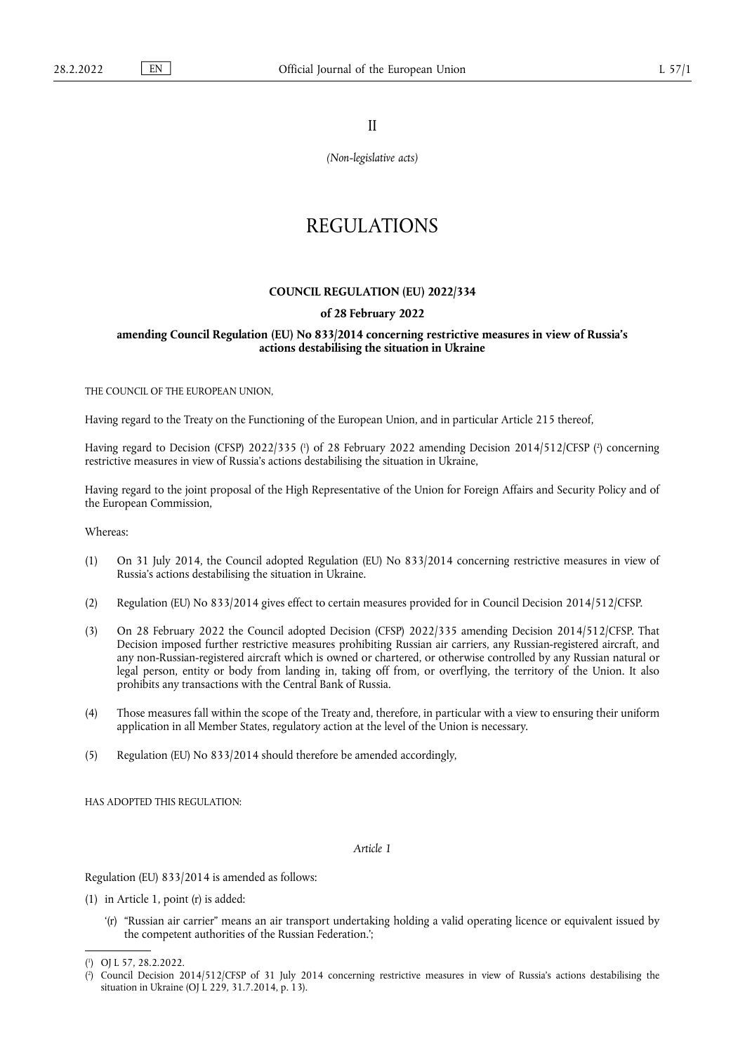II

*(Non-legislative acts)*

# REGULATIONS

#### **COUNCIL REGULATION (EU) 2022/334**

#### **of 28 February 2022**

## **amending Council Regulation (EU) No 833/2014 concerning restrictive measures in view of Russia's actions destabilising the situation in Ukraine**

THE COUNCIL OF THE EUROPEAN UNION,

Having regard to the Treaty on the Functioning of the European Union, and in particular Article 215 thereof,

<span id="page-0-2"></span>Having regard to Decision [\(](#page-0-1)CFSP) 2022/335 (') of 28 February 2022 amending Decision 2014/512/CFSP (') concerning restrictive measures in view of Russia's actions destabilising the situation in Ukraine,

Having regard to the joint proposal of the High Representative of the Union for Foreign Affairs and Security Policy and of the European Commission,

Whereas:

- (1) On 31 July 2014, the Council adopted Regulation (EU) No 833/2014 concerning restrictive measures in view of Russia's actions destabilising the situation in Ukraine.
- (2) Regulation (EU) No 833/2014 gives effect to certain measures provided for in Council Decision 2014/512/CFSP.
- (3) On 28 February 2022 the Council adopted Decision (CFSP) 2022/335 amending Decision 2014/512/CFSP. That Decision imposed further restrictive measures prohibiting Russian air carriers, any Russian-registered aircraft, and any non-Russian-registered aircraft which is owned or chartered, or otherwise controlled by any Russian natural or legal person, entity or body from landing in, taking off from, or overflying, the territory of the Union. It also prohibits any transactions with the Central Bank of Russia.
- (4) Those measures fall within the scope of the Treaty and, therefore, in particular with a view to ensuring their uniform application in all Member States, regulatory action at the level of the Union is necessary.
- (5) Regulation (EU) No 833/2014 should therefore be amended accordingly,

HAS ADOPTED THIS REGULATION:

*Article 1*

Regulation (EU) 833/2014 is amended as follows:

- (1) in Article 1, point (r) is added:
	- '(r) "Russian air carrier" means an air transport undertaking holding a valid operating licence or equivalent issued by the competent authorities of the Russian Federation.';

<span id="page-0-0"></span>[<sup>\(</sup>](#page-0-2) 1 ) OJ L 57, 28.2.2022.

<span id="page-0-1"></span>[<sup>\(</sup>](#page-0-2) 2 ) Council Decision 2014/512/CFSP of 31 July 2014 concerning restrictive measures in view of Russia's actions destabilising the situation in Ukraine (OJ L 229, 31.7.2014, p. 13).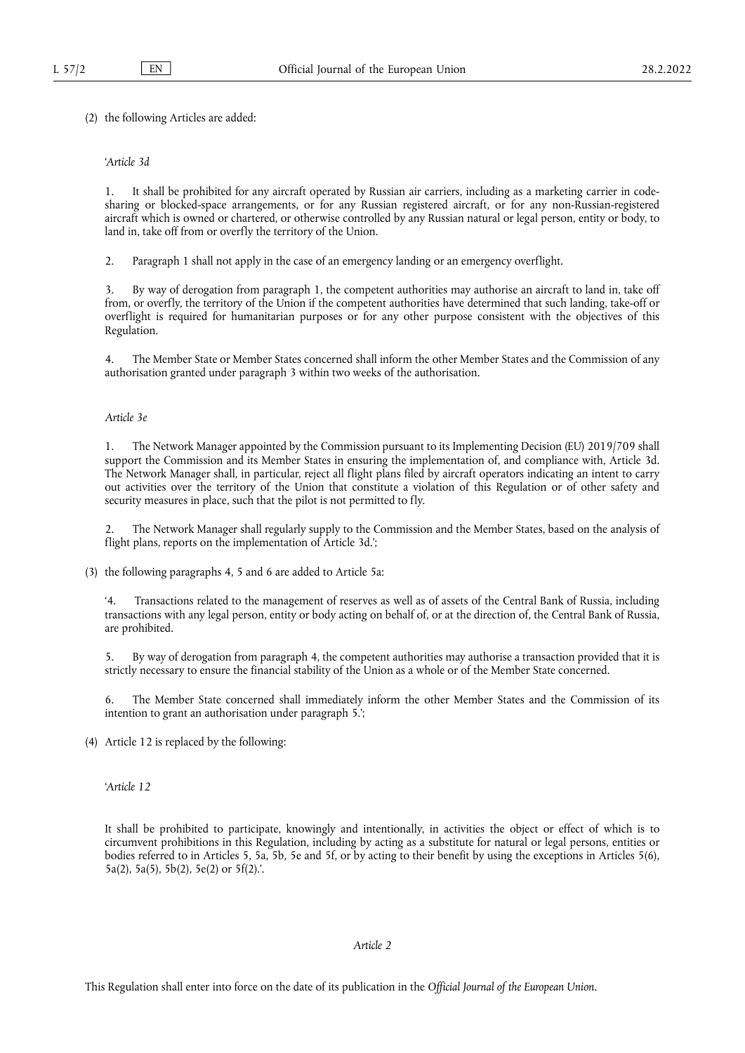(2) the following Articles are added:

#### '*Article 3d*

1. It shall be prohibited for any aircraft operated by Russian air carriers, including as a marketing carrier in codesharing or blocked-space arrangements, or for any Russian registered aircraft, or for any non-Russian-registered aircraft which is owned or chartered, or otherwise controlled by any Russian natural or legal person, entity or body, to land in, take off from or overfly the territory of the Union.

2. Paragraph 1 shall not apply in the case of an emergency landing or an emergency overflight.

3. By way of derogation from paragraph 1, the competent authorities may authorise an aircraft to land in, take off from, or overfly, the territory of the Union if the competent authorities have determined that such landing, take-off or overflight is required for humanitarian purposes or for any other purpose consistent with the objectives of this Regulation.

4. The Member State or Member States concerned shall inform the other Member States and the Commission of any authorisation granted under paragraph 3 within two weeks of the authorisation.

## *Article 3e*

1. The Network Manager appointed by the Commission pursuant to its Implementing Decision (EU) 2019/709 shall support the Commission and its Member States in ensuring the implementation of, and compliance with, Article 3d. The Network Manager shall, in particular, reject all flight plans filed by aircraft operators indicating an intent to carry out activities over the territory of the Union that constitute a violation of this Regulation or of other safety and security measures in place, such that the pilot is not permitted to fly.

2. The Network Manager shall regularly supply to the Commission and the Member States, based on the analysis of flight plans, reports on the implementation of Article 3d.';

(3) the following paragraphs 4, 5 and 6 are added to Article 5a:

'4. Transactions related to the management of reserves as well as of assets of the Central Bank of Russia, including transactions with any legal person, entity or body acting on behalf of, or at the direction of, the Central Bank of Russia, are prohibited.

5. By way of derogation from paragraph 4, the competent authorities may authorise a transaction provided that it is strictly necessary to ensure the financial stability of the Union as a whole or of the Member State concerned.

6. The Member State concerned shall immediately inform the other Member States and the Commission of its intention to grant an authorisation under paragraph 5.';

(4) Article 12 is replaced by the following:

'*Article 12*

It shall be prohibited to participate, knowingly and intentionally, in activities the object or effect of which is to circumvent prohibitions in this Regulation, including by acting as a substitute for natural or legal persons, entities or bodies referred to in Articles 5, 5a, 5b, 5e and 5f, or by acting to their benefit by using the exceptions in Articles 5(6), 5a(2), 5a(5), 5b(2), 5e(2) or 5f(2).'.

*Article 2*

This Regulation shall enter into force on the date of its publication in the *Official Journal of the European Union*.